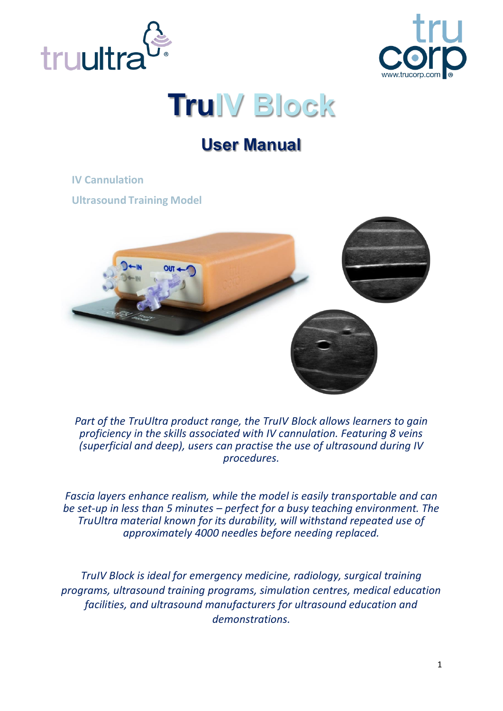



# **TruIV Block**

## **User Manual**

**IV Cannulation**

**Ultrasound Training Model**



*Part of the TruUltra product range, the TruIV Block allows learners to gain proficiency in the skills associated with IV cannulation. Featuring 8 veins (superficial and deep), users can practise the use of ultrasound during IV procedures.*

*Fascia layers enhance realism, while the model is easily transportable and can be set-up in less than 5 minutes – perfect for a busy teaching environment. The TruUltra material known for its durability, will withstand repeated use of approximately 4000 needles before needing replaced.*

*TruIV Block is ideal for emergency medicine, radiology, surgical training programs, ultrasound training programs, simulation centres, medical education facilities, and ultrasound manufacturers for ultrasound education and demonstrations.*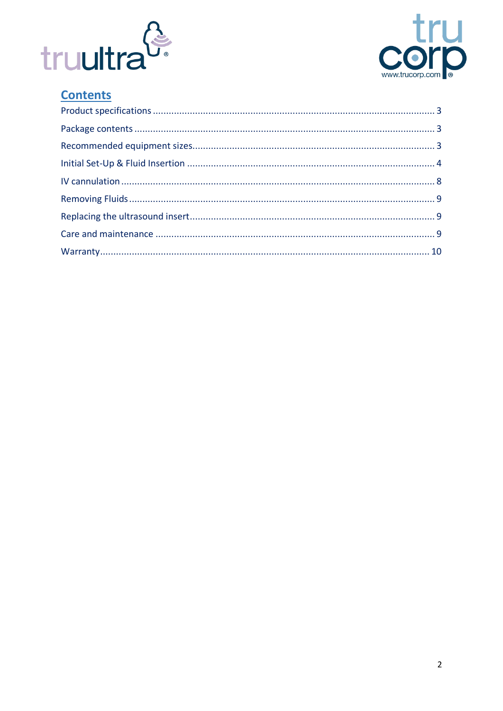



### **Contents**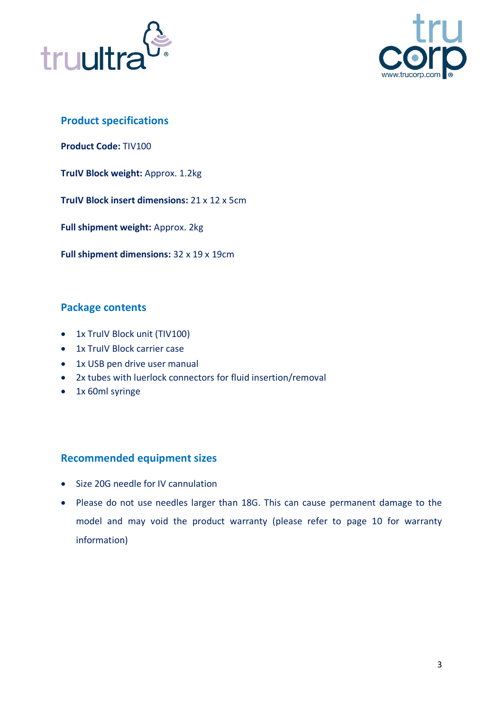



#### <span id="page-2-0"></span>**Product specifications**

**Product Code:** TIV100

**TruIV Block weight:** Approx. 1.2kg

**TruIV Block insert dimensions:** 21 x 12 x 5cm

**Full shipment weight:** Approx. 2kg

**Full shipment dimensions:** 32 x 19 x 19cm

#### <span id="page-2-1"></span>**Package contents**

- 1x TruIV Block unit (TIV100)
- 1x TruIV Block carrier case
- 1x USB pen drive user manual
- 2x tubes with luerlock connectors for fluid insertion/removal
- 1x 60ml syringe

#### <span id="page-2-2"></span>**Recommended equipment sizes**

- Size 20G needle for IV cannulation
- Please do not use needles larger than 18G. This can cause permanent damage to the model and may void the product warranty (please refer to page 10 for warranty information)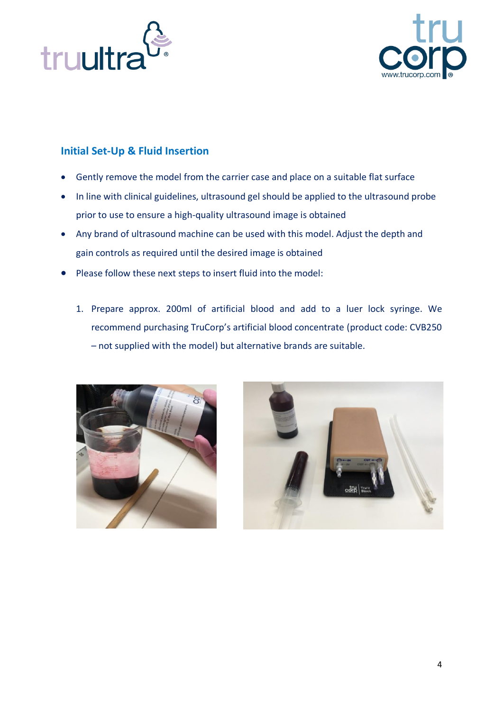



#### <span id="page-3-0"></span>**Initial Set-Up & Fluid Insertion**

- Gently remove the model from the carrier case and place on a suitable flat surface
- In line with clinical guidelines, ultrasound gel should be applied to the ultrasound probe prior to use to ensure a high-quality ultrasound image is obtained
- Any brand of ultrasound machine can be used with this model. Adjust the depth and gain controls as required until the desired image is obtained
- Please follow these next steps to insert fluid into the model:
	- 1. Prepare approx. 200ml of artificial blood and add to a luer lock syringe. We recommend purchasing TruCorp's artificial blood concentrate (product code: CVB250 – not supplied with the model) but alternative brands are suitable.



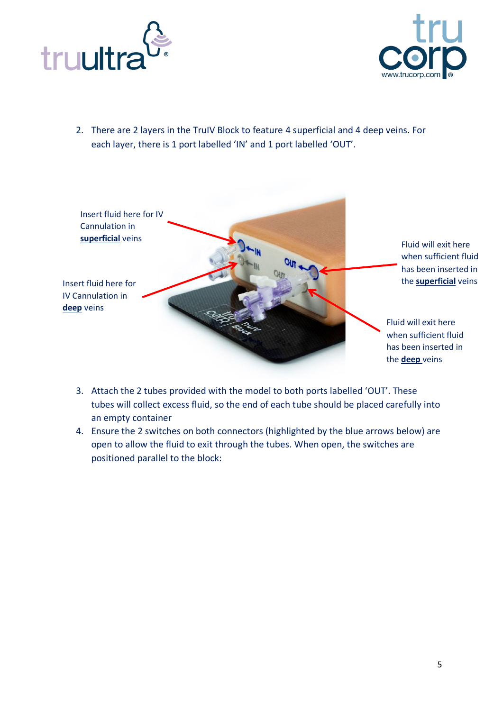



2. There are 2 layers in the TruIV Block to feature 4 superficial and 4 deep veins. For each layer, there is 1 port labelled 'IN' and 1 port labelled 'OUT'.



- 3. Attach the 2 tubes provided with the model to both ports labelled 'OUT'. These tubes will collect excess fluid, so the end of each tube should be placed carefully into an empty container
- 4. Ensure the 2 switches on both connectors (highlighted by the blue arrows below) are open to allow the fluid to exit through the tubes. When open, the switches are positioned parallel to the block: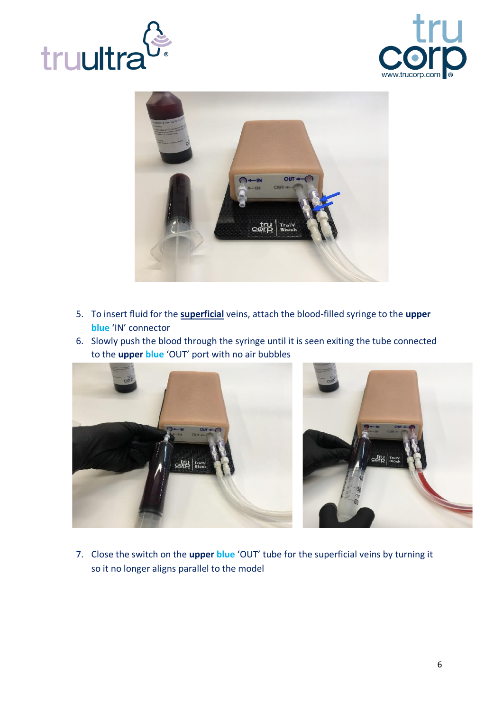





- 5. To insert fluid for the **superficial** veins, attach the blood-filled syringe to the **upper blue** 'IN' connector
- 6. Slowly push the blood through the syringe until it is seen exiting the tube connected to the **upper blue** 'OUT' port with no air bubbles





7. Close the switch on the **upper blue** 'OUT' tube for the superficial veins by turning it so it no longer aligns parallel to the model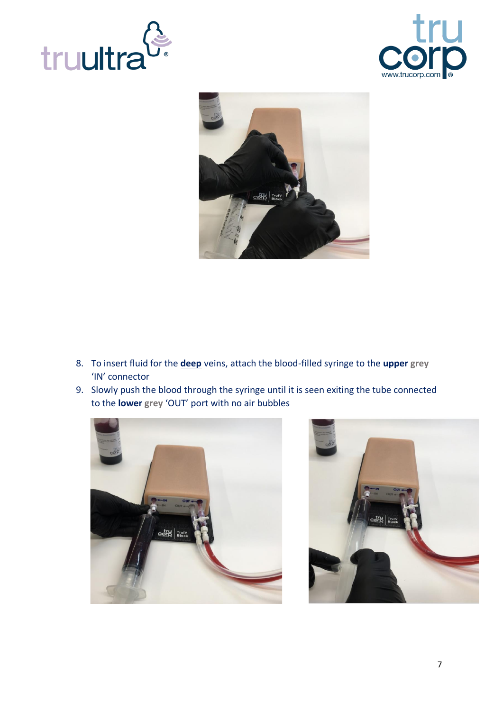





- 8. To insert fluid for the **deep** veins, attach the blood-filled syringe to the **upper grey** 'IN' connector
- 9. Slowly push the blood through the syringe until it is seen exiting the tube connected to the **lower grey** 'OUT' port with no air bubbles



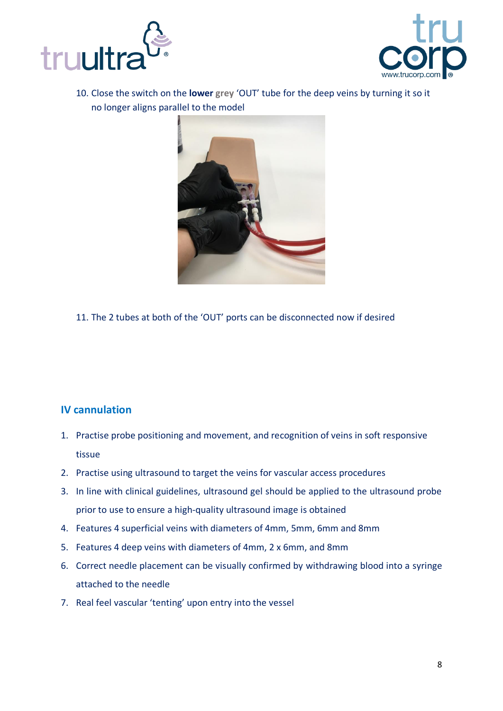



10. Close the switch on the **lower grey** 'OUT' tube for the deep veins by turning it so it no longer aligns parallel to the model



11. The 2 tubes at both of the 'OUT' ports can be disconnected now if desired

#### <span id="page-7-0"></span>**IV cannulation**

- 1. Practise probe positioning and movement, and recognition of veins in soft responsive tissue
- 2. Practise using ultrasound to target the veins for vascular access procedures
- 3. In line with clinical guidelines, ultrasound gel should be applied to the ultrasound probe prior to use to ensure a high-quality ultrasound image is obtained
- 4. Features 4 superficial veins with diameters of 4mm, 5mm, 6mm and 8mm
- 5. Features 4 deep veins with diameters of 4mm, 2 x 6mm, and 8mm
- 6. Correct needle placement can be visually confirmed by withdrawing blood into a syringe attached to the needle
- 7. Real feel vascular 'tenting' upon entry into the vessel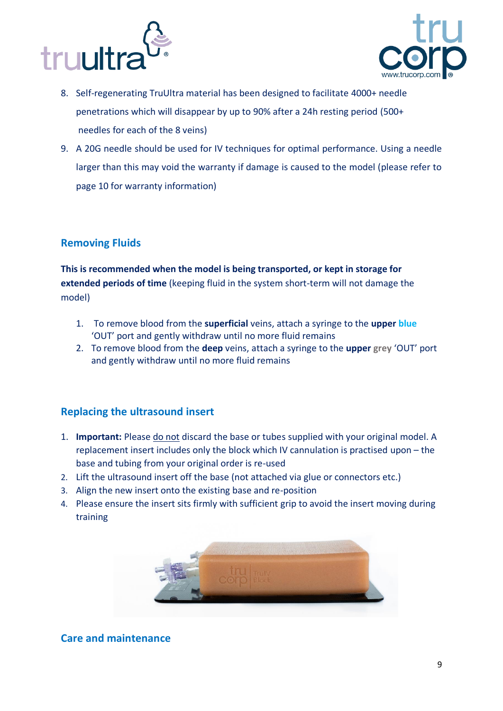



- 8. Self-regenerating TruUltra material has been designed to facilitate 4000+ needle penetrations which will disappear by up to 90% after a 24h resting period (500+ needles for each of the 8 veins)
- 9. A 20G needle should be used for IV techniques for optimal performance. Using a needle larger than this may void the warranty if damage is caused to the model (please refer to page 10 for warranty information)

#### <span id="page-8-0"></span>**Removing Fluids**

**This is recommended when the model is being transported, or kept in storage for extended periods of time** (keeping fluid in the system short-term will not damage the model)

- 1. To remove blood from the **superficial** veins, attach a syringe to the **upper blue** 'OUT' port and gently withdraw until no more fluid remains
- 2. To remove blood from the **deep** veins, attach a syringe to the **upper grey** 'OUT' port and gently withdraw until no more fluid remains

#### <span id="page-8-1"></span>**Replacing the ultrasound insert**

- 1. **Important:** Please do not discard the base or tubes supplied with your original model. A replacement insert includes only the block which IV cannulation is practised upon – the base and tubing from your original order is re-used
- 2. Lift the ultrasound insert off the base (not attached via glue or connectors etc.)
- 3. Align the new insert onto the existing base and re-position
- 4. Please ensure the insert sits firmly with sufficient grip to avoid the insert moving during training



#### <span id="page-8-2"></span>**Care and maintenance**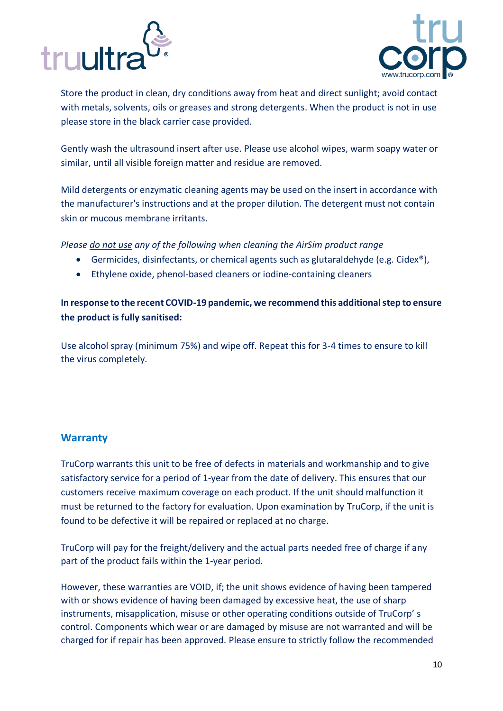



Store the product in clean, dry conditions away from heat and direct sunlight; avoid contact with metals, solvents, oils or greases and strong detergents. When the product is not in use please store in the black carrier case provided.

Gently wash the ultrasound insert after use. Please use alcohol wipes, warm soapy water or similar, until all visible foreign matter and residue are removed.

Mild detergents or enzymatic cleaning agents may be used on the insert in accordance with the manufacturer's instructions and at the proper dilution. The detergent must not contain skin or mucous membrane irritants.

*Please do not use any of the following when cleaning the AirSim product range*

- Germicides, disinfectants, or chemical agents such as glutaraldehyde (e.g. Cidex<sup>®</sup>),
- Ethylene oxide, phenol-based cleaners or iodine-containing cleaners

**In response to the recent COVID-19 pandemic, we recommend this additional step to ensure the product is fully sanitised:**

Use alcohol spray (minimum 75%) and wipe off. Repeat this for 3-4 times to ensure to kill the virus completely.

#### <span id="page-9-0"></span>**Warranty**

TruCorp warrants this unit to be free of defects in materials and workmanship and to give satisfactory service for a period of 1-year from the date of delivery. This ensures that our customers receive maximum coverage on each product. If the unit should malfunction it must be returned to the factory for evaluation. Upon examination by TruCorp, if the unit is found to be defective it will be repaired or replaced at no charge.

TruCorp will pay for the freight/delivery and the actual parts needed free of charge if any part of the product fails within the 1-year period.

However, these warranties are VOID, if; the unit shows evidence of having been tampered with or shows evidence of having been damaged by excessive heat, the use of sharp instruments, misapplication, misuse or other operating conditions outside of TruCorp' s control. Components which wear or are damaged by misuse are not warranted and will be charged for if repair has been approved. Please ensure to strictly follow the recommended